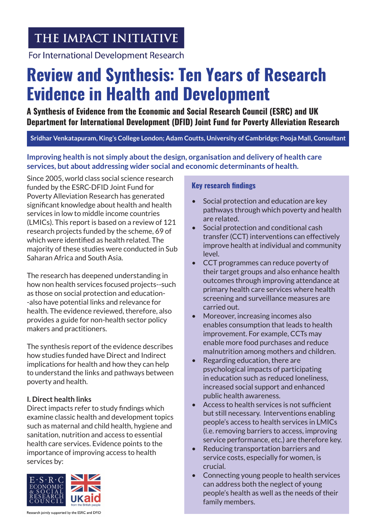# THE IMPACT INITIATIVE

For International Development Research

# **Review and Synthesis: Ten Years of Research Evidence in Health and Development**

**A Synthesis of Evidence from the Economic and Social Research Council (ESRC) and UK Department for International Development (DFID) Joint Fund for Poverty Alleviation Research**

# **Sridhar Venkatapuram, King's College London; Adam Coutts, University of Cambridge; Pooja Mall, Consultant**

**Improving health is not simply about the design, organisation and delivery of health care services, but about addressing wider social and economic determinants of health.** 

Since 2005, world class social science research funded by the ESRC-DFID Joint Fund for Poverty Alleviation Research has generated significant knowledge about health and health services in low to middle income countries (LMICs). This report is based on a review of 121 research projects funded by the scheme, 69 of which were identified as health related. The majority of these studies were conducted in Sub Saharan Africa and South Asia.

The research has deepened understanding in how non health services focused projects--such as those on social protection and education- -also have potential links and relevance for health. The evidence reviewed, therefore, also provides a guide for non-health sector policy makers and practitioners.

The synthesis report of the evidence describes how studies funded have Direct and Indirect implications for health and how they can help to understand the links and pathways between poverty and health.

# **I. Direct health links**

Direct impacts refer to study findings which examine classic health and development topics such as maternal and child health, hygiene and sanitation, nutrition and access to essential health care services. Evidence points to the importance of improving access to health services by:



#### **Key research findings**

- Social protection and education are key pathways through which poverty and health are related.
- Social protection and conditional cash transfer (CCT) interventions can effectively improve health at individual and community level.
- CCT programmes can reduce poverty of their target groups and also enhance health outcomes through improving attendance at primary health care services where health screening and surveillance measures are carried out.
- Moreover, increasing incomes also enables consumption that leads to health improvement. For example, CCTs may enable more food purchases and reduce malnutrition among mothers and children.
- Regarding education, there are psychological impacts of participating in education such as reduced loneliness, increased social support and enhanced public health awareness.
- Access to health services is not sufficient but still necessary. Interventions enabling people's access to health services in LMICs (i.e. removing barriers to access, improving service performance, etc.) are therefore key.
- Reducing transportation barriers and service costs, especially for women, is crucial.
- Connecting young people to health services can address both the neglect of young people's health as well as the needs of their family members.

Research jointly supported by the ESRC and DFID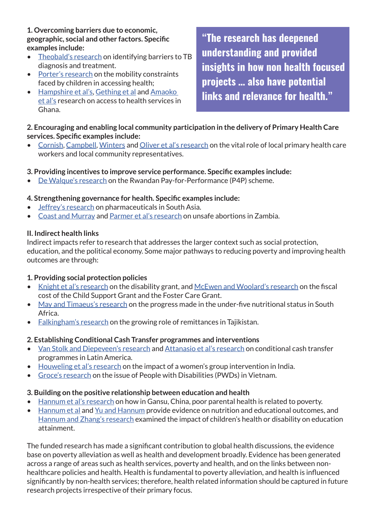**1. Overcoming barriers due to economic, geographic, social and other factors. Specific examples include:**

- [Theobald's research](http://researchcatalogue.esrc.ac.uk/grants/RES-167-25-0387/read/reports) on identifying barriers to TB diagnosis and treatment.
- [Porter's research](http://researchcatalogue.esrc.ac.uk/grants/RES-167-25-0028/read/reports) on the mobility constraints faced by children in accessing health;
- [Hampshire et al's,](http://www.sciencedirect.com/science/article/pii/S027795361100400X) [Gething et al](http://download.springer.com/static/pdf/486/art%253A10.1186%252F1471-2458-12-991.pdf?originUrl=http%3A%2F%2Fbmcpublichealth.biomedcentral.com%2Farticle%2F10.1186%2F1471-2458-12-991&token2=exp=1456928237~acl=%2Fstatic%2Fpdf%2F486%2Fart%25253A10.1186%25252F1471-2458-12-991.pdf*~hmac=b0e051defba77cc1ff2741369253d750d775c5fc75a3e049cec2e816e5fc068d) and [Amaoko](http://www.tandfonline.com/doi/abs/10.1080/00324728.2012.678585)  [et al's](http://www.tandfonline.com/doi/abs/10.1080/00324728.2012.678585) research on access to health services in Ghana.

**"The research has deepened understanding and provided insights in how non health focused projects … also have potential links and relevance for health."**

# **2. Encouraging and enabling local community participation in the delivery of Primary Health Care services. Specific examples include:**

• [Cornish](http://researchcatalogue.esrc.ac.uk/grants/RES-167-25-0193/read), [Campbell,](http://gtr.rcuk.ac.uk/projects?ref=ES/I033459/1) [Winters](http://gtr.rcuk.ac.uk/projects?ref=ES/J018619/1) and [Oliver et al's research](http://www.ncbi.nlm.nih.gov/pmc/articles/PMC4442123/pdf/GHA-8-27168.pdf) on the vital role of local primary health care workers and local community representatives.

# **3. Providing incentives to improve service performance. Specific examples include:**

• [De Walque's research](http://www.sciencedirect.com/science/article/pii/S0167629614001489) on the Rwandan Pay-for-Performance (P4P) scheme.

#### **4. Strengthening governance for health. Specific examples include:**

- [Jeffrey's research](http://www.researchcatalogue.esrc.ac.uk/grants/RES-167-25-0110/read) on pharmaceuticals in South Asia.
- [Coast and Murray](http://eprints.lse.ac.uk/59487/1/__lse.ac.uk_storage_LIBRARY_Secondary_libfile_shared_repository_Content_Coast%2C E_Pregnancy termination_Coast_Pregnancy termination_2014.pdf) and [Parmer et al's research](http://eprints.lse.ac.uk/59184/1/__lse.ac.uk_storage_LIBRARY_Secondary_libfile_shared_repository_Content_Parmar,D_Health system costs_Parmar_Health system costs_2014.pdf) on unsafe abortions in Zambia.

#### **II. Indirect health links**

Indirect impacts refer to research that addresses the larger context such as social protection, education, and the political economy. Some major pathways to reducing poverty and improving health outcomes are through:

#### **1. Providing social protection policies**

- [Knight et al's research](http://www.tandfonline.com/doi/abs/10.1080/0376835X.2013.755767#aHR0cDovL3d3dy50YW5kZm9ubGluZS5jb20vZG9pL3BkZi8xMC4xMDgwLzAzNzY4MzVYLjIwMTMuNzU1NzY3QEBAMA==) on the disability grant, and [McEwen and Woolard's research](http://www.tandfonline.com/doi/abs/10.1080/0376835X.2012.645648) on the fiscal cost of the Child Support Grant and the Foster Care Grant.
- [May and Timaeus's research](http://www.tandfonline.com/doi/full/10.1080/0376835X.2014.952896#aHR0cDovL3d3dy50YW5kZm9ubGluZS5jb20vZG9pL3BkZi8xMC4xMDgwLzAzNzY4MzVYLjIwMTQuOTUyODk2QEBAMA==) on the progress made in the under-five nutritional status in South Africa.
- [Falkingham's research](http://r4d.dfid.gov.uk/PDF/Outputs/ESRC_DFID/60432_Left_Behind_Tadjikistan.pdf) on the growing role of remittances in Tajikistan.

#### **2. Establishing Conditional Cash Transfer programmes and interventions**

- [Van Stolk and Diepeveen's research](http://www.rand.org/pubs/working_papers/WR960.html) and [Attanasio et al's research](https://www.aeaweb.org/articles.php?doi=10.1257/app.20130126) on conditional cash transfer programmes in Latin America.
- [Houweling et al's research](http://ije.oxfordjournals.org/content/42/2/520.full.pdf+html) on the impact of a women's group intervention in India.
- [Groce's research](http://www.theimpactinitiative.net/project/social-protection-and-disability-policy-lessons-vietnam) on the issue of People with Disabilities (PWDs) in Vietnam.

#### **3. Building on the positive relationship between education and health**

- [Hannum et al's research](http://www.ncbi.nlm.nih.gov/pmc/articles/PMC3010365/pdf/nihms194049.pdf) on how in Gansu, China, poor parental health is related to poverty.
- [Hannum et al](http://www.sciencedirect.com/science/article/pii/S0738059312000958) and [Yu and Hannum](http://spx.sagepub.com/content/50/1/53.short) provide evidence on nutrition and educational outcomes, and [Hannum and Zhang's research](http://www.sciencedirect.com/science/article/pii/S0305750X1200099X) examined the impact of children's health or disability on education attainment.

The funded research has made a significant contribution to global health discussions, the evidence base on poverty alleviation as well as health and development broadly. Evidence has been generated across a range of areas such as health services, poverty and health, and on the links between nonhealthcare policies and health. Health is fundamental to poverty alleviation, and health is influenced significantly by non-health services; therefore, health related information should be captured in future research projects irrespective of their primary focus.